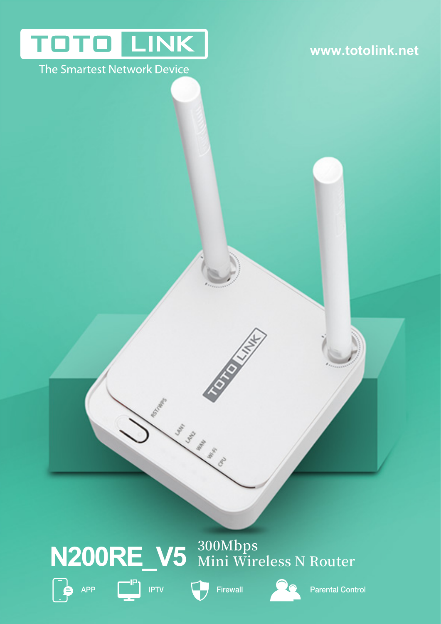# **TOTO LINK**

### The Smartest Network Device

### **www.totolink.net**

# **���Mbps N200RE\_V5 Mini Wireless N Router**









APP IPTV Firewall Parental Control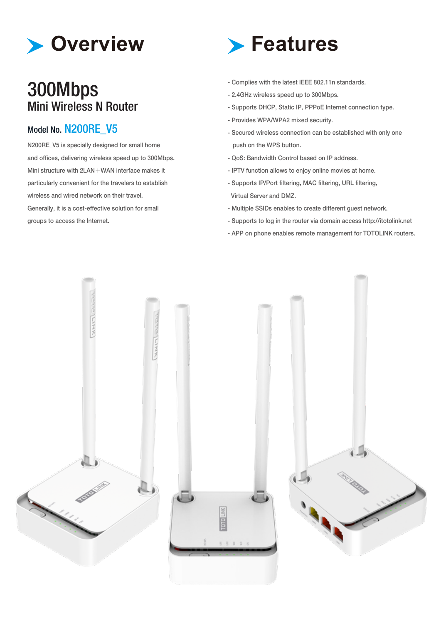

### 300Mbps Mini Wireless N Router

### Model No. N200RE V5

N200RE\_V5 is specially designed for small home and offices, delivering wireless speed up to 300Mbps. Mini structure with 2LAN+WAN interface makes it particularly convenient for the travelers to establish wireless and wired network on their travel. Generally, it is a cost-effective solution for small groups to access the Internet.



- Complies with the latest IEEE 802.11n standards.
- 2.4GHz wireless speed up to 300Mbps.
- Supports DHCP, Static IP, PPPoE Internet connection type.
- Provides WPA/WPA2 mixed security.
- Secured wireless connection can be established with only one push on the WPS button.
- QoS: Bandwidth Control based on IP address.
- IPTV function allows to enjoy online movies at home.
- Supports IP/Port filtering, MAC filtering, URL filtering, Virtual Server and DMZ.
- Multiple SSIDs enables to create different guest network.
- Supports to log in the router via domain access http://itotolink.net
- APP on phone enables remote management for TOTOLINK routers.

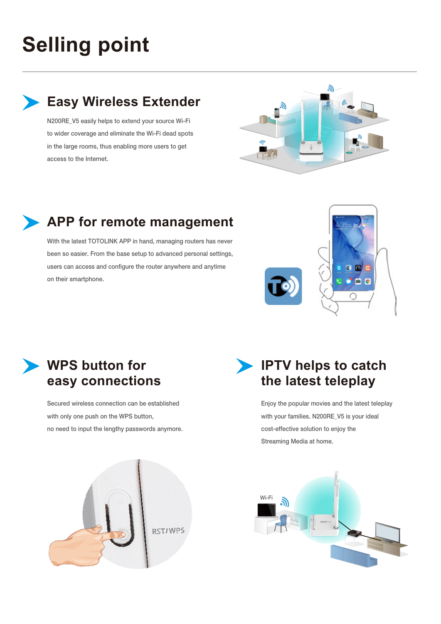## **Selling point**

**Easy Wireless Extender**

N200RE V5 easily helps to extend your source Wi-Fi to wider coverage and eliminate the Wi-Fi dead spots in the large rooms, thus enabling more users to get access to the Internet.



### **APP for remote management**

With the latest TOTOLINK APP in hand, managing routers has never been so easier. From the base setup to advanced personal settings, users can access and configure the router anywhere and anytime on their smartphone.



### **WPS button for easy connections**

Secured wireless connection can be established with only one push on the WPS button, no need to input the lengthy passwords anymore.

### **IPTV helps to catch the latest teleplay**

Enjoy the popular movies and the latest teleplay with your families. N200RE\_V5 is your ideal cost-effective solution to enjoy the Streaming Media at home.



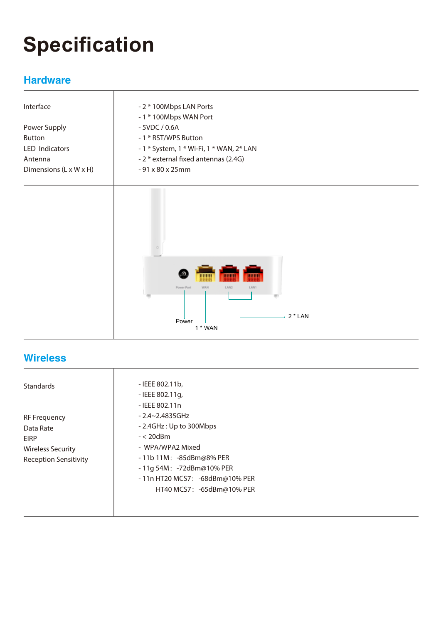# **Specification**

### **Hardware**

| Interface              | - 2 * 100Mbps LAN Ports<br>- 1 * 100Mbps WAN Port |  |  |  |
|------------------------|---------------------------------------------------|--|--|--|
| Power Supply           | $-5VDC/0.6A$                                      |  |  |  |
| <b>Button</b>          | - 1 * RST/WPS Button                              |  |  |  |
| LED Indicators         | - 1 * System, 1 * Wi-Fi, 1 * WAN, 2* LAN          |  |  |  |
| Antenna                | - 2 * external fixed antennas (2.4G)              |  |  |  |
| Dimensions (L x W x H) | - 91 x 80 x 25mm                                  |  |  |  |
|                        |                                                   |  |  |  |
|                        |                                                   |  |  |  |
|                        |                                                   |  |  |  |
|                        | the country                                       |  |  |  |



### **Wireless**

T

| Standards                    | - IEEE 802.11b,                 |  |
|------------------------------|---------------------------------|--|
|                              | - IEEE 802.11g,                 |  |
|                              | - IEEE 802.11n                  |  |
| <b>RF Frequency</b>          | $-2.4 - 2.4835$ GHz             |  |
| Data Rate                    | - 2.4GHz: Up to 300Mbps         |  |
| EIRP                         | $- < 20$ d $Bm$                 |  |
| Wireless Security            | - WPA/WPA2 Mixed                |  |
| <b>Reception Sensitivity</b> | $-11b11M$ : $-85dBm@8%$ PER     |  |
|                              | - 11g 54M: -72dBm@10% PER       |  |
|                              | - 11n HT20 MCS7: -68dBm@10% PER |  |
|                              | HT40 MCS7: -65dBm@10% PER       |  |
|                              |                                 |  |
|                              |                                 |  |